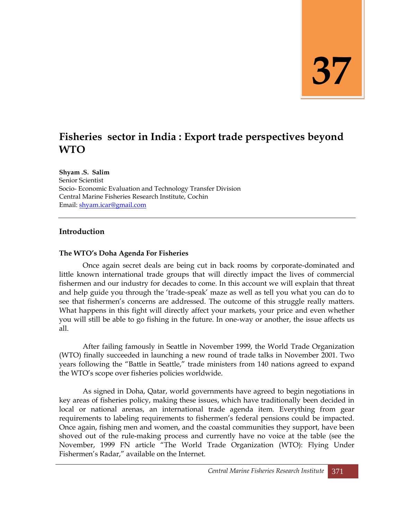# **37**

# **Fisheries sector in India : Export trade perspectives beyond WTO**

**Shyam .S. Salim**

Senior Scientist Socio- Economic Evaluation and Technology Transfer Division Central Marine Fisheries Research Institute, Cochin Email: [shyam.icar@gmail.com](mailto:shyam.icar@gmail.com)

#### **Introduction**

#### **The WTO"s Doha Agenda For Fisheries**

Once again secret deals are being cut in back rooms by corporate-dominated and little known international trade groups that will directly impact the lives of commercial fishermen and our industry for decades to come. In this account we will explain that threat and help guide you through the 'trade-speak' maze as well as tell you what you can do to see that fishermen's concerns are addressed. The outcome of this struggle really matters. What happens in this fight will directly affect your markets, your price and even whether you will still be able to go fishing in the future. In one-way or another, the issue affects us all.

After failing famously in Seattle in November 1999, the World Trade Organization (WTO) finally succeeded in launching a new round of trade talks in November 2001. Two years following the "Battle in Seattle," trade ministers from 140 nations agreed to expand the WTO's scope over fisheries policies worldwide.

As signed in Doha, Qatar, world governments have agreed to begin negotiations in key areas of fisheries policy, making these issues, which have traditionally been decided in local or national arenas, an international trade agenda item. Everything from gear requirements to labeling requirements to fishermen's federal pensions could be impacted. Once again, fishing men and women, and the coastal communities they support, have been shoved out of the rule-making process and currently have no voice at the table (see the November, 1999 FN article "The World Trade Organization (WTO): Flying Under Fishermen's Radar," available on the Internet.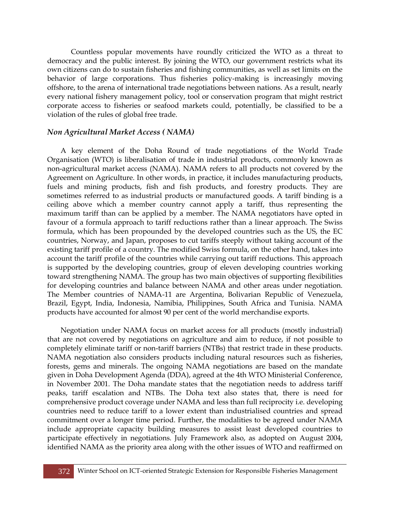Countless popular movements have roundly criticized the WTO as a threat to democracy and the public interest. By joining the WTO, our government restricts what its own citizens can do to sustain fisheries and fishing communities, as well as set limits on the behavior of large corporations. Thus fisheries policy-making is increasingly moving offshore, to the arena of international trade negotiations between nations. As a result, nearly every national fishery management policy, tool or conservation program that might restrict corporate access to fisheries or seafood markets could, potentially, be classified to be a violation of the rules of global free trade.

#### *Non Agricultural Market Access ( NAMA)*

A key element of the Doha Round of trade negotiations of the World Trade Organisation (WTO) is liberalisation of trade in industrial products, commonly known as non-agricultural market access (NAMA). NAMA refers to all products not covered by the Agreement on Agriculture. In other words, in practice, it includes manufacturing products, fuels and mining products, fish and fish products, and forestry products. They are sometimes referred to as industrial products or manufactured goods. A tariff binding is a ceiling above which a member country cannot apply a tariff, thus representing the maximum tariff than can be applied by a member. The NAMA negotiators have opted in favour of a formula approach to tariff reductions rather than a linear approach. The Swiss formula, which has been propounded by the developed countries such as the US, the EC countries, Norway, and Japan, proposes to cut tariffs steeply without taking account of the existing tariff profile of a country. The modified Swiss formula, on the other hand, takes into account the tariff profile of the countries while carrying out tariff reductions. This approach is supported by the developing countries, group of eleven developing countries working toward strengthening NAMA. The group has two main objectives of supporting flexibilities for developing countries and balance between NAMA and other areas under negotiation. The Member countries of NAMA-11 are [Argentina,](http://en.wikipedia.org/wiki/Argentina) [Bolivarian Republic of Venezuela,](http://en.wikipedia.org/wiki/Bolivarian_Republic_of_Venezuela) [Brazil,](http://en.wikipedia.org/wiki/Brazil) [Egypt,](http://en.wikipedia.org/wiki/Egypt) [India,](http://en.wikipedia.org/wiki/India) [Indonesia,](http://en.wikipedia.org/wiki/Indonesia) [Namibia,](http://en.wikipedia.org/wiki/Namibia) [Philippines,](http://en.wikipedia.org/wiki/Philippines) [South Africa](http://en.wikipedia.org/wiki/South_Africa) and [Tunisia.](http://en.wikipedia.org/wiki/Tunisia) NAMA products have accounted for almost 90 per cent of the world merchandise exports.

Negotiation under NAMA focus on market access for all products (mostly industrial) that are not covered by negotiations on agriculture and aim to reduce, if not possible to completely eliminate tariff or non-tariff barriers (NTBs) that restrict trade in these products. NAMA negotiation also considers products including natural resources such as fisheries, forests, gems and minerals. The ongoing NAMA negotiations are based on the mandate given in Doha Development Agenda (DDA), agreed at the 4th WTO Ministerial Conference, in November 2001. The Doha mandate states that the negotiation needs to address tariff peaks, tariff escalation and NTBs. The Doha text also states that, there is need for comprehensive product coverage under NAMA and less than full reciprocity i.e. developing countries need to reduce tariff to a lower extent than industrialised countries and spread commitment over a longer time period. Further, the modalities to be agreed under NAMA include appropriate capacity building measures to assist least developed countries to participate effectively in negotiations. July Framework also, as adopted on August 2004, identified NAMA as the priority area along with the other issues of WTO and reaffirmed on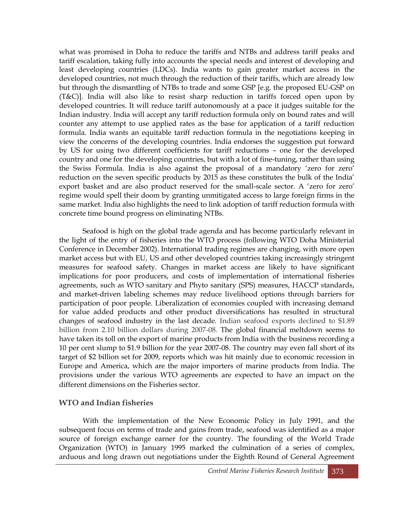what was promised in Doha to reduce the tariffs and NTBs and address tariff peaks and tariff escalation, taking fully into accounts the special needs and interest of developing and least developing countries (LDCs). India wants to gain greater market access in the developed countries, not much through the reduction of their tariffs, which are already low but through the dismantling of NTBs to trade and some GSP [e.g. the proposed EU-GSP on (T&C)]. India will also like to resist sharp reduction in tariffs forced open upon by developed countries. It will reduce tariff autonomously at a pace it judges suitable for the Indian industry. India will accept any tariff reduction formula only on bound rates and will counter any attempt to use applied rates as the base for application of a tariff reduction formula. India wants an equitable tariff reduction formula in the negotiations keeping in view the concerns of the developing countries. India endorses the suggestion put forward by US for using two different coefficients for tariff reductions – one for the developed country and one for the developing countries, but with a lot of fine-tuning, rather than using the Swiss Formula. India is also against the proposal of a mandatory 'zero for zero' reduction on the seven specific products by 2015 as these constitutes the bulk of the India' export basket and are also product reserved for the small-scale sector. A ‗zero for zero' regime would spell their doom by granting unmitigated access to large foreign firms in the same market. India also highlights the need to link adoption of tariff reduction formula with concrete time bound progress on eliminating NTBs.

Seafood is high on the global trade agenda and has become particularly relevant in the light of the entry of fisheries into the WTO process (following WTO Doha Ministerial Conference in December 2002). International trading regimes are changing, with more open market access but with EU, US and other developed countries taking increasingly stringent measures for seafood safety. Changes in market access are likely to have significant implications for poor producers, and costs of implementation of international fisheries agreements, such as WTO sanitary and Phyto sanitary (SPS) measures, HACCP standards, and market-driven labeling schemes may reduce livelihood options through barriers for participation of poor people. Liberalization of economies coupled with increasing demand for value added products and other product diversifications has resulted in structural changes of seafood industry in the last decade. Indian seafood exports declined to \$1.89 billion from 2.10 billion dollars during 2007-08. The global financial meltdown seems to have taken its toll on the export of marine products from India with the business recording a 10 per cent slump to \$1.9 billion for the year 2007-08. The country may even fall short of its target of \$2 billion set for 2009, reports which was hit mainly due to economic recession in Europe and America, which are the major importers of marine products from India. The provisions under the various WTO agreements are expected to have an impact on the different dimensions on the Fisheries sector.

# **WTO and Indian fisheries**

With the implementation of the New Economic Policy in July 1991, and the subsequent focus on terms of trade and gains from trade, seafood was identified as a major source of foreign exchange earner for the country. The founding of the World Trade Organization (WTO) in January 1995 marked the culmination of a series of complex, arduous and long drawn out negotiations under the Eighth Round of General Agreement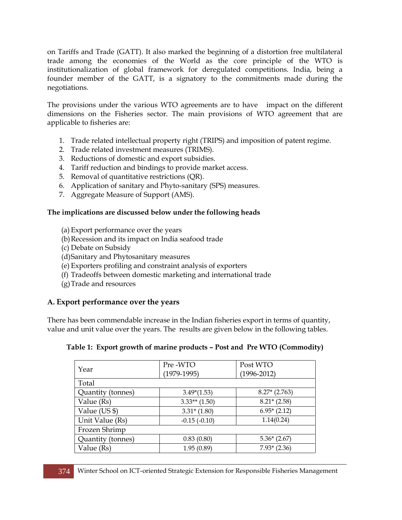on Tariffs and Trade (GATT). It also marked the beginning of a distortion free multilateral trade among the economies of the World as the core principle of the WTO is institutionalization of global framework for deregulated competitions. India, being a founder member of the GATT, is a signatory to the commitments made during the negotiations.

The provisions under the various WTO agreements are to have impact on the different dimensions on the Fisheries sector. The main provisions of WTO agreement that are applicable to fisheries are:

- 1. Trade related intellectual property right (TRIPS) and imposition of patent regime.
- 2. Trade related investment measures (TRIMS).
- 3. Reductions of domestic and export subsidies.
- 4. Tariff reduction and bindings to provide market access.
- 5. Removal of quantitative restrictions (QR).
- 6. Application of sanitary and Phyto-sanitary (SPS) measures.
- 7. Aggregate Measure of Support (AMS).

#### **The implications are discussed below under the following heads**

- (a) Export performance over the years
- (b)Recession and its impact on India seafood trade
- (c) Debate on Subsidy
- (d)Sanitary and Phytosanitary measures
- (e) Exporters profiling and constraint analysis of exporters
- (f) Tradeoffs between domestic marketing and international trade
- (g)Trade and resources

# **A. Export performance over the years**

There has been commendable increase in the Indian fisheries export in terms of quantity, value and unit value over the years. The results are given below in the following tables.

| Year              | Pre-WTO         | Post WTO        |  |  |
|-------------------|-----------------|-----------------|--|--|
|                   | $(1979-1995)$   | $(1996 - 2012)$ |  |  |
| Total             |                 |                 |  |  |
| Quantity (tonnes) | $3.49*(1.53)$   | $8.27*(2.763)$  |  |  |
| Value (Rs)        | $3.33**$ (1.50) | $8.21*(2.58)$   |  |  |
| Value (US \$)     | $3.31*(1.80)$   | $6.95*(2.12)$   |  |  |
| Unit Value (Rs)   | $-0.15(-0.10)$  | 1.14(0.24)      |  |  |
| Frozen Shrimp     |                 |                 |  |  |
| Quantity (tonnes) | 0.83(0.80)      | $5.36*(2.67)$   |  |  |
| Value (Rs)        | 1.95(0.89)      | $7.93*(2.36)$   |  |  |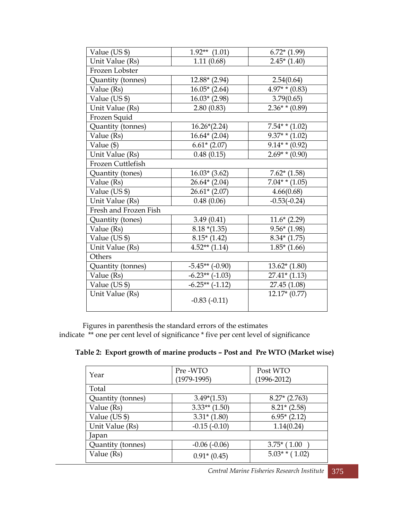| Value (US \$)         | $1.92**$ (1.01)       | $6.72*(1.99)$       |
|-----------------------|-----------------------|---------------------|
| Unit Value (Rs)       | 1.11(0.68)            | $2.45*(1.40)$       |
| Frozen Lobster        |                       |                     |
| Quantity (tonnes)     | $12.88*(2.94)$        | 2.54(0.64)          |
| Value (Rs)            | $16.05*(2.64)$        | $4.97**$ (0.83)     |
| Value (US \$)         | $16.03*(2.98)$        | 3.79(0.65)          |
| Unit Value (Rs)       | 2.80(0.83)            | $2.36**$ (0.89)     |
| Frozen Squid          |                       |                     |
| Quantity (tonnes)     | $16.26*(2.24)$        | $7.54**$ (1.02)     |
| Value (Rs)            | $16.64*(2.04)$        | $9.37**$ (1.02)     |
| Value $(\$)$          | $6.61*(2.07)$         | $9.14**$ (0.92)     |
| Unit Value (Rs)       | 0.48(0.15)            | $2.69**$ (0.90)     |
| Frozen Cuttlefish     |                       |                     |
| Quantity (tones)      | $16.03*$ (3.62)       | $7.62*(1.58)$       |
| Value (Rs)            | $26.64*(2.04)$        | $7.04$ * * $(1.05)$ |
| Value (US \$)         | $26.61*(2.07)$        | 4.66(0.68)          |
| Unit Value (Rs)       | 0.48(0.06)            | $-0.53(-0.24)$      |
| Fresh and Frozen Fish |                       |                     |
| Quantity (tones)      | 3.49(0.41)            | $11.6*(2.29)$       |
| Value (Rs)            | $8.18*(1.35)$         | $9.56*(1.98)$       |
| Value (US \$)         | $8.15*(1.42)$         | $8.34*(1.75)$       |
| Unit Value (Rs)       | $4.52**$ (1.14)       | $1.85*(1.66)$       |
| Others                |                       |                     |
| Quantity (tonnes)     | $-5.45**$ ( $-0.90$ ) | $13.62*(1.80)$      |
| Value (Rs)            | $-6.23**$ $(-1.03)$   | $27.41*(1.13)$      |
| Value (US \$)         | $-6.25**$ $(-1.12)$   | 27.45 (1.08)        |
| Unit Value (Rs)       | $-0.83(-0.11)$        | $12.17*(0.77)$      |

Figures in parenthesis the standard errors of the estimates

indicate \*\* one per cent level of significance \* five per cent level of significance

 **Table 2: Export growth of marine products – Post and Pre WTO (Market wise)**

|                   | Pre-WTO         | Post WTO          |  |  |
|-------------------|-----------------|-------------------|--|--|
| Year              | $(1979-1995)$   | $(1996 - 2012)$   |  |  |
| Total             |                 |                   |  |  |
| Quantity (tonnes) | $3.49*(1.53)$   | $8.27*(2.763)$    |  |  |
| Value (Rs)        | $3.33**$ (1.50) | $8.21*(2.58)$     |  |  |
| Value (US \$)     | $3.31*(1.80)$   | $6.95*(2.12)$     |  |  |
| Unit Value (Rs)   | $-0.15(-0.10)$  | 1.14(0.24)        |  |  |
| Japan             |                 |                   |  |  |
| Quantity (tonnes) | $-0.06(-0.06)$  | $3.75*(1.00)$     |  |  |
| Value (Rs)        | $0.91*(0.45)$   | $5.03$ * * (1.02) |  |  |

*Central Marine Fisheries Research Institute* 375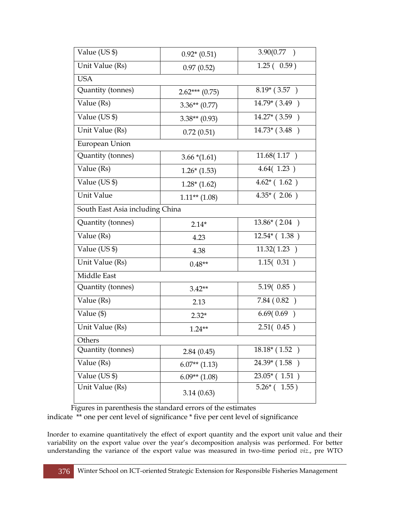| Value (US \$)                   | $0.92*(0.51)$    | 3.90(0.77)                 |
|---------------------------------|------------------|----------------------------|
| Unit Value (Rs)                 | 0.97(0.52)       | $\overline{1.25}$ ( 0.59 ) |
| <b>USA</b>                      |                  |                            |
| Quantity (tonnes)               | $2.62***(0.75)$  | $8.19*(3.57)$              |
| Value (Rs)                      | $3.36**$ (0.77)  | $14.79*(3.49)$             |
| Value (US \$)                   | $3.38**$ (0.93)  | $14.27*(3.59)$             |
| Unit Value (Rs)                 | 0.72(0.51)       | $14.73*(3.48)$             |
| European Union                  |                  |                            |
| Quantity (tonnes)               | $3.66*(1.61)$    | 11.68(1.17)                |
| Value (Rs)                      | $1.26*(1.53)$    | 4.64(1.23)                 |
| Value (US \$)                   | $1.28*(1.62)$    | $4.62^*$ (1.62)            |
| Unit Value                      | $1.11***$ (1.08) | $4.35*(2.06)$              |
| South East Asia including China |                  |                            |
| Quantity (tonnes)               | $2.14*$          | $13.86*(2.04)$             |
| Value (Rs)                      | 4.23             | $12.54*(1.38)$             |
| Value (US \$)                   | 4.38             | $\overline{11.32} (1.23)$  |
| Unit Value (Rs)                 | $0.48**$         | $\overline{1.15}$ $(0.31)$ |
| Middle East                     |                  |                            |
| Quantity (tonnes)               | $3.42**$         | 5.19( 0.85 )               |
| Value (Rs)                      | 2.13             | 7.84 (0.82)                |
| Value (\$)                      | $2.32*$          | 6.69(0.69)                 |
| Unit Value (Rs)                 | $1.24**$         | 2.51(0.45)                 |
| Others                          |                  |                            |
| Quantity (tonnes)               | 2.84(0.45)       | $18.18*(1.52)$             |
| Value (Rs)                      | $6.07**$ (1.13)  | 24.39* (1.58)              |
| Value (US \$)                   | $6.09**$ (1.08)  | $23.05*(1.51)$             |
| Unit Value (Rs)                 | 3.14(0.63)       | $5.26*(1.55)$              |

Figures in parenthesis the standard errors of the estimates

indicate \*\* one per cent level of significance \* five per cent level of significance

Inorder to examine quantitatively the effect of export quantity and the export unit value and their variability on the export value over the year's decomposition analysis was performed. For better understanding the variance of the export value was measured in two-time period *viz*., pre WTO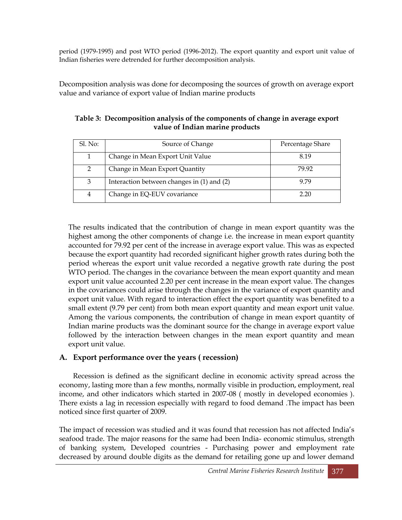period (1979-1995) and post WTO period (1996-2012). The export quantity and export unit value of Indian fisheries were detrended for further decomposition analysis.

Decomposition analysis was done for decomposing the sources of growth on average export value and variance of export value of Indian marine products

| Sl. No:       | Source of Change                           | Percentage Share |
|---------------|--------------------------------------------|------------------|
|               | Change in Mean Export Unit Value           | 8.19             |
| $\mathcal{L}$ | Change in Mean Export Quantity             | 79.92            |
| 3             | Interaction between changes in (1) and (2) | 9.79             |
| 4             | Change in EQ-EUV covariance                | 2.20             |

**Table 3: Decomposition analysis of the components of change in average export value of Indian marine products**

The results indicated that the contribution of change in mean export quantity was the highest among the other components of change i.e. the increase in mean export quantity accounted for 79.92 per cent of the increase in average export value. This was as expected because the export quantity had recorded significant higher growth rates during both the period whereas the export unit value recorded a negative growth rate during the post WTO period. The changes in the covariance between the mean export quantity and mean export unit value accounted 2.20 per cent increase in the mean export value. The changes in the covariances could arise through the changes in the variance of export quantity and export unit value. With regard to interaction effect the export quantity was benefited to a small extent (9.79 per cent) from both mean export quantity and mean export unit value. Among the various components, the contribution of change in mean export quantity of Indian marine products was the dominant source for the change in average export value followed by the interaction between changes in the mean export quantity and mean export unit value.

# **A. Export performance over the years ( recession)**

Recession is defined as the significant decline in economic activity spread across the economy, lasting more than a few months, normally visible in production, employment, real income, and other indicators which started in 2007-08 ( mostly in developed economies ). There exists a lag in recession especially with regard to food demand .The impact has been noticed since first quarter of 2009.

The impact of recession was studied and it was found that recession has not affected India's seafood trade. The major reasons for the same had been India- economic stimulus, strength of banking system, Developed countries - Purchasing power and employment rate decreased by around double digits as the demand for retailing gone up and lower demand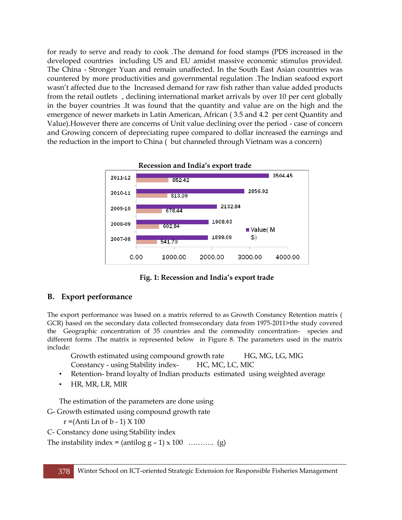for ready to serve and ready to cook .The demand for food stamps (PDS increased in the developed countries including US and EU amidst massive economic stimulus provided. The China - Stronger Yuan and remain unaffected. In the South East Asian countries was countered by more productivities and governmental regulation .The Indian seafood export wasn't affected due to the Increased demand for raw fish rather than value added products from the retail outlets , declining international market arrivals by over 10 per cent globally in the buyer countries .It was found that the quantity and value are on the high and the emergence of newer markets in Latin American, African ( 3.5 and 4.2 per cent Quantity and Value).However there are concerns of Unit value declining over the period - case of concern and Growing concern of depreciating rupee compared to dollar increased the earnings and the reduction in the import to China ( but channeled through Vietnam was a concern)



**Recession and India"s export trade**

#### **Fig. 1: Recession and India"s export trade**

#### **B. Export performance**

The export performance was based on a matrix referred to as Growth Constancy Retention matrix ( GCR) based on the secondary data collected fromsecondary data from 1975-2011>the study covered the Geographic concentration of 35 countries and the commodity concentration- species and different forms .The matrix is represented below in Figure 8. The parameters used in the matrix include:

Growth estimated using compound growth rate HG, MG, LG, MlG Constancy - using Stability index- HC, MC, LC, MlC

- Retention- brand loyalty of Indian products estimated using weighted average
- HR, MR, LR, MlR

The estimation of the parameters are done using

G- Growth estimated using compound growth rate

```
r = (Anti \ Ln \ of \ b - 1) \ X \ 100
```

```
C- Constancy done using Stability index
```

```
The instability index = (antilog g - 1) x 100 ……….. (g)
```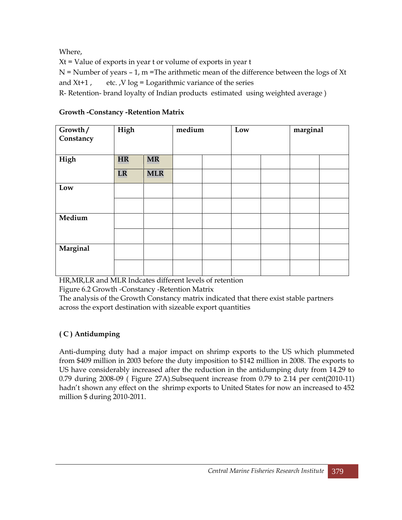Where,

Xt = Value of exports in year t or volume of exports in year t

 $N =$  Number of years  $-1$ ,  $m =$ The arithmetic mean of the difference between the logs of Xt and  $Xt+1$ , etc.,  $V \log =$  Logarithmic variance of the series

R- Retention- brand loyalty of Indian products estimated using weighted average )

| Growth/<br>Constancy | High      |            | medium |  | Low |  | marginal |  |
|----------------------|-----------|------------|--------|--|-----|--|----------|--|
| High                 | <b>HR</b> | <b>MR</b>  |        |  |     |  |          |  |
|                      | <b>LR</b> | <b>MLR</b> |        |  |     |  |          |  |
| Low                  |           |            |        |  |     |  |          |  |
|                      |           |            |        |  |     |  |          |  |
| Medium               |           |            |        |  |     |  |          |  |
|                      |           |            |        |  |     |  |          |  |
| Marginal             |           |            |        |  |     |  |          |  |
|                      |           |            |        |  |     |  |          |  |

**Growth -Constancy -Retention Matrix**

HR,MR,LR and MLR Indcates different levels of retention

Figure 6.2 Growth -Constancy -Retention Matrix

The analysis of the Growth Constancy matrix indicated that there exist stable partners across the export destination with sizeable export quantities

# **( C ) Antidumping**

Anti-dumping duty had a major impact on shrimp exports to the US which plummeted from \$409 million in 2003 before the duty imposition to \$142 million in 2008. The exports to US have considerably increased after the reduction in the antidumping duty from 14.29 to 0.79 during 2008-09 ( Figure 27A).Subsequent increase from 0.79 to 2.14 per cent(2010-11) hadn't shown any effect on the shrimp exports to United States for now an increased to 452 million \$ during 2010-2011.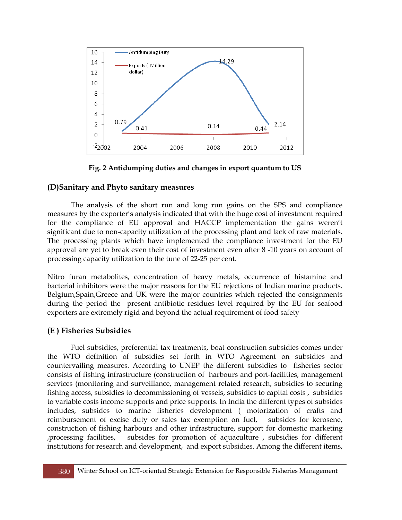

**Fig. 2 Antidumping duties and changes in export quantum to US**

# **(D)Sanitary and Phyto sanitary measures**

The analysis of the short run and long run gains on the SPS and compliance measures by the exporter's analysis indicated that with the huge cost of investment required for the compliance of EU approval and HACCP implementation the gains weren't significant due to non-capacity utilization of the processing plant and lack of raw materials. The processing plants which have implemented the compliance investment for the EU approval are yet to break even their cost of investment even after 8 -10 years on account of processing capacity utilization to the tune of 22-25 per cent.

Nitro furan metabolites, concentration of heavy metals, occurrence of histamine and bacterial inhibitors were the major reasons for the EU rejections of Indian marine products. Belgium,Spain,Greece and UK were the major countries which rejected the consignments during the period the present antibiotic residues level required by the EU for seafood exporters are extremely rigid and beyond the actual requirement of food safety

# **(E ) Fisheries Subsidies**

Fuel subsidies, preferential tax treatments, boat construction subsidies comes under the WTO definition of subsidies set forth in WTO Agreement on subsidies and countervailing measures. According to UNEP the different subsidies to fisheries sector consists of fishing infrastructure (construction of harbours and port-facilities, management services (monitoring and surveillance, management related research, subsidies to securing fishing access, subsidies to decommissioning of vessels, subsidies to capital costs , subsidies to variable costs income supports and price supports. In India the different types of subsides includes, subsides to marine fisheries development ( motorization of crafts and reimbursement of excise duty or sales tax exemption on fuel, subsides for kerosene, construction of fishing harbours and other infrastructure, support for domestic marketing ,processing facilities, subsides for promotion of aquaculture , subsidies for different institutions for research and development, and export subsidies. Among the different items,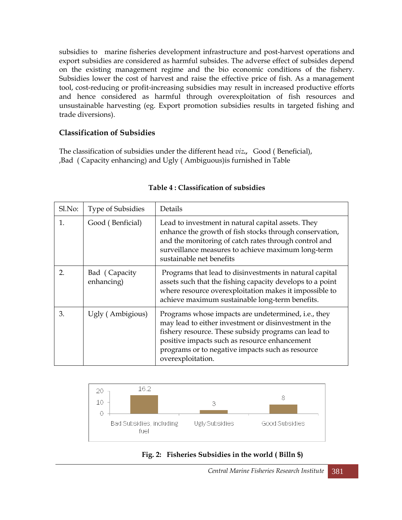subsidies to marine fisheries development infrastructure and post-harvest operations and export subsidies are considered as harmful subsides. The adverse effect of subsides depend on the existing management regime and the bio economic conditions of the fishery. Subsidies lower the cost of harvest and raise the effective price of fish. As a management tool, cost-reducing or profit-increasing subsidies may result in increased productive efforts and hence considered as harmful through overexploitation of fish resources and unsustainable harvesting (eg. Export promotion subsidies results in targeted fishing and trade diversions).

#### **Classification of Subsidies**

The classification of subsidies under the different head *viz.,* Good ( Beneficial), ,Bad ( Capacity enhancing) and Ugly ( Ambiguous)is furnished in Table

| S <sub>1</sub> No: | <b>Type of Subsidies</b>    | Details                                                                                                                                                                                                                                                                                        |
|--------------------|-----------------------------|------------------------------------------------------------------------------------------------------------------------------------------------------------------------------------------------------------------------------------------------------------------------------------------------|
| $\mathbf{1}$ .     | Good (Benficial)            | Lead to investment in natural capital assets. They<br>enhance the growth of fish stocks through conservation,<br>and the monitoring of catch rates through control and<br>surveillance measures to achieve maximum long-term<br>sustainable net benefits                                       |
| $\overline{2}$ .   | Bad (Capacity<br>enhancing) | Programs that lead to disinvestments in natural capital<br>assets such that the fishing capacity develops to a point<br>where resource overexploitation makes it impossible to<br>achieve maximum sustainable long-term benefits.                                                              |
| 3.                 | Ugly (Ambigious)            | Programs whose impacts are undetermined, i.e., they<br>may lead to either investment or disinvestment in the<br>fishery resource. These subsidy programs can lead to<br>positive impacts such as resource enhancement<br>programs or to negative impacts such as resource<br>overexploitation. |

#### **Table 4 : Classification of subsidies**



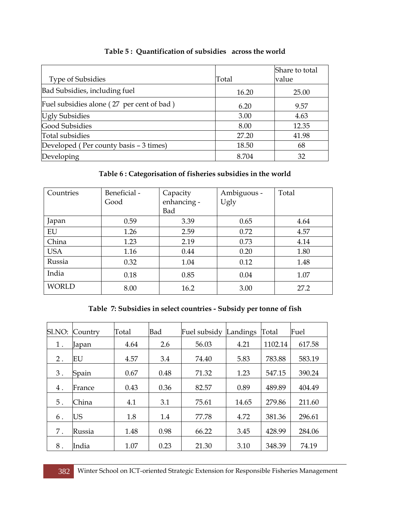|                                           |       | Share to total |
|-------------------------------------------|-------|----------------|
| <b>Type of Subsidies</b>                  | Total | value          |
| Bad Subsidies, including fuel             | 16.20 | 25.00          |
| Fuel subsidies alone (27 per cent of bad) | 6.20  | 9.57           |
| <b>Ugly Subsidies</b>                     | 3.00  | 4.63           |
| <b>Good Subsidies</b>                     | 8.00  | 12.35          |
| Total subsidies                           | 27.20 | 41.98          |
| Developed (Per county basis - 3 times)    | 18.50 | 68             |
| Developing                                | 8.704 | 32             |

#### **Table 5 : Quantification of subsidies across the world**

# **Table 6 : Categorisation of fisheries subsidies in the world**

| Countries    | Beneficial -<br>Good | Capacity<br>enhancing -<br>Bad | Ambiguous -<br>Ugly | Total |
|--------------|----------------------|--------------------------------|---------------------|-------|
| Japan        | 0.59                 | 3.39                           | 0.65                | 4.64  |
| EU           | 1.26                 | 2.59                           | 0.72                | 4.57  |
| China        | 1.23                 | 2.19                           | 0.73                | 4.14  |
| <b>USA</b>   | 1.16                 | 0.44                           | 0.20                | 1.80  |
| Russia       | 0.32                 | 1.04                           | 0.12                | 1.48  |
| India        | 0.18                 | 0.85                           | 0.04                | 1.07  |
| <b>WORLD</b> | 8.00                 | 16.2                           | 3.00                | 27.2  |

# **Table 7: Subsidies in select countries - Subsidy per tonne of fish**

| Sl.NO: | Country   | Total | <b>Bad</b> | Fuel subsidy | Landings | Total   | Fuel   |
|--------|-----------|-------|------------|--------------|----------|---------|--------|
| 1.     | Japan     | 4.64  | 2.6        | 56.03        | 4.21     | 1102.14 | 617.58 |
| $2$ .  | EU        | 4.57  | 3.4        | 74.40        | 5.83     | 783.88  | 583.19 |
| 3.     | Spain     | 0.67  | 0.48       | 71.32        | 1.23     | 547.15  | 390.24 |
| $4$ .  | France    | 0.43  | 0.36       | 82.57        | 0.89     | 489.89  | 404.49 |
| 5.     | China     | 4.1   | 3.1        | 75.61        | 14.65    | 279.86  | 211.60 |
| 6.     | <b>US</b> | 1.8   | 1.4        | 77.78        | 4.72     | 381.36  | 296.61 |
| 7.     | Russia    | 1.48  | 0.98       | 66.22        | 3.45     | 428.99  | 284.06 |
| 8.     | India     | 1.07  | 0.23       | 21.30        | 3.10     | 348.39  | 74.19  |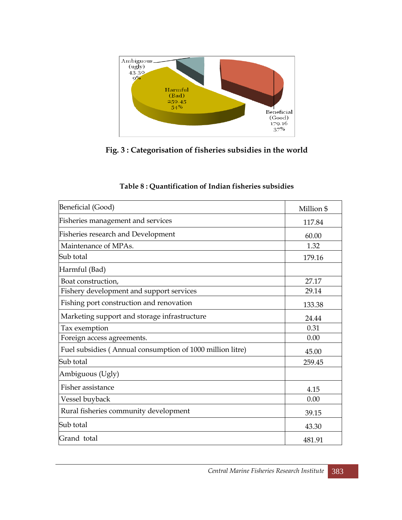

**Fig. 3 : Categorisation of fisheries subsidies in the world**

| Beneficial (Good)                                         | Million \$ |
|-----------------------------------------------------------|------------|
| Fisheries management and services                         | 117.84     |
| <b>Fisheries research and Development</b>                 | 60.00      |
| Maintenance of MPAs.                                      | 1.32       |
| Sub total                                                 | 179.16     |
| Harmful (Bad)                                             |            |
| Boat construction,                                        | 27.17      |
| Fishery development and support services                  | 29.14      |
| Fishing port construction and renovation                  | 133.38     |
| Marketing support and storage infrastructure              | 24.44      |
| Tax exemption                                             | 0.31       |
| Foreign access agreements.                                | 0.00       |
| Fuel subsidies (Annual consumption of 1000 million litre) | 45.00      |
| Sub total                                                 | 259.45     |
| Ambiguous (Ugly)                                          |            |
| Fisher assistance                                         | 4.15       |
| Vessel buyback                                            | 0.00       |
| Rural fisheries community development                     | 39.15      |
| Sub total                                                 | 43.30      |
| Grand total                                               | 481.91     |

#### **Table 8 : Quantification of Indian fisheries subsidies**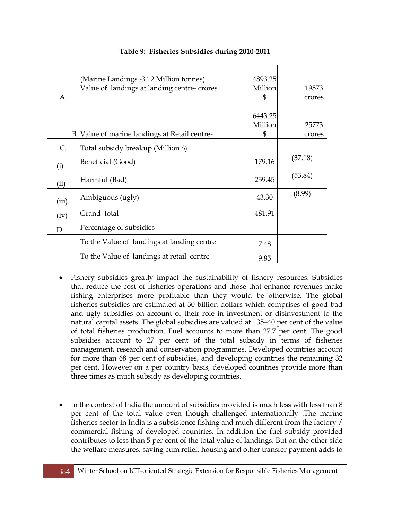| Α.          | (Marine Landings -3.12 Million tonnes)<br>Value of landings at landing centre-crores | 4893.25<br>Million<br>\$ | 19573<br>crores |
|-------------|--------------------------------------------------------------------------------------|--------------------------|-----------------|
|             | B. Value of marine landings at Retail centre-                                        | 6443.25<br>Million<br>\$ | 25773<br>crores |
| $C_{\cdot}$ | Total subsidy breakup (Million \$)                                                   |                          |                 |
| (i)         | Beneficial (Good)                                                                    | 179.16                   | (37.18)         |
| (ii)        | Harmful (Bad)                                                                        | 259.45                   | (53.84)         |
| (iii)       | Ambiguous (ugly)                                                                     | 43.30                    | (8.99)          |
| (iv)        | Grand total                                                                          | 481.91                   |                 |
| D.          | Percentage of subsidies                                                              |                          |                 |
|             | To the Value of landings at landing centre                                           | 7.48                     |                 |
|             | To the Value of landings at retail centre                                            | 9.85                     |                 |

#### **Table 9: Fisheries Subsidies during 2010-2011**

- Fishery subsidies greatly impact the sustainability of fishery resources. Subsidies that reduce the cost of fisheries operations and those that enhance revenues make fishing enterprises more profitable than they would be otherwise. The global fisheries subsidies are estimated at 30 billion dollars which comprises of good bad and ugly subsidies on account of their role in investment or disinvestment to the natural capital assets. The global subsidies are valued at 35–40 per cent of the value of total fisheries production. Fuel accounts to more than 27.7 per cent. The good subsidies account to 27 per cent of the total subsidy in terms of fisheries management, research and conservation programmes. Developed countries account for more than 68 per cent of subsidies, and developing countries the remaining 32 per cent. However on a per country basis, developed countries provide more than three times as much subsidy as developing countries.
- In the context of India the amount of subsidies provided is much less with less than 8 per cent of the total value even though challenged internationally .The marine fisheries sector in India is a subsistence fishing and much different from the factory / commercial fishing of developed countries. In addition the fuel subsidy provided contributes to less than 5 per cent of the total value of landings. But on the other side the welfare measures, saving cum relief, housing and other transfer payment adds to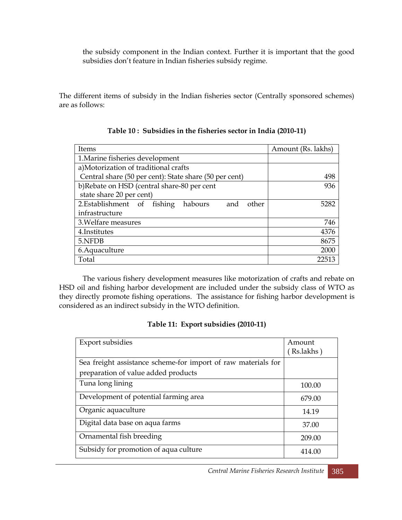the subsidy component in the Indian context. Further it is important that the good subsidies don't feature in Indian fisheries subsidy regime.

The different items of subsidy in the Indian fisheries sector (Centrally sponsored schemes) are as follows:

| Items                                                  | Amount (Rs. lakhs) |  |  |  |
|--------------------------------------------------------|--------------------|--|--|--|
| 1. Marine fisheries development                        |                    |  |  |  |
| a)Motorization of traditional crafts                   |                    |  |  |  |
| Central share (50 per cent): State share (50 per cent) | 498                |  |  |  |
| b)Rebate on HSD (central share-80 per cent             | 936                |  |  |  |
| state share 20 per cent)                               |                    |  |  |  |
| 2. Establishment of fishing<br>habours<br>other<br>and | 5282               |  |  |  |
| infrastructure                                         |                    |  |  |  |
| 3. Welfare measures                                    | 746                |  |  |  |
| 4. Institutes                                          | 4376               |  |  |  |
| 5.NFDB                                                 | 8675               |  |  |  |
| 6. Aquaculture                                         | 2000               |  |  |  |
| Total                                                  | 22513              |  |  |  |

|  | Table 10 : Subsidies in the fisheries sector in India (2010-11) |  |
|--|-----------------------------------------------------------------|--|
|  |                                                                 |  |

The various fishery development measures like motorization of crafts and rebate on HSD oil and fishing harbor development are included under the subsidy class of WTO as they directly promote fishing operations. The assistance for fishing harbor development is considered as an indirect subsidy in the WTO definition.

#### **Table 11: Export subsidies (2010-11)**

| Export subsidies                                              | Amount<br>(Rs.lakhs) |
|---------------------------------------------------------------|----------------------|
| Sea freight assistance scheme-for import of raw materials for |                      |
| preparation of value added products                           |                      |
| Tuna long lining                                              | 100.00               |
| Development of potential farming area                         | 679.00               |
| Organic aquaculture                                           | 14.19                |
| Digital data base on aqua farms                               | 37.00                |
| Ornamental fish breeding                                      | 209.00               |
| Subsidy for promotion of aqua culture                         | 414.00               |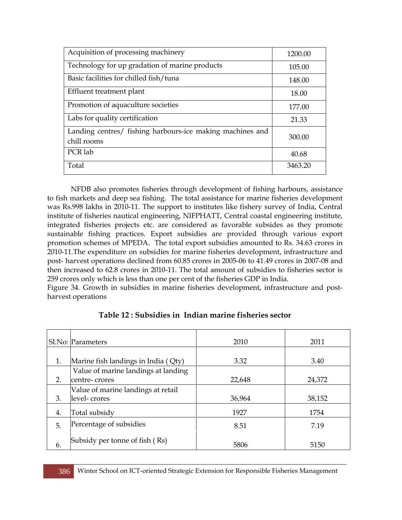| Acquisition of processing machinery                                      | 1200.00 |
|--------------------------------------------------------------------------|---------|
| Technology for up gradation of marine products                           | 105.00  |
| Basic facilities for chilled fish/tuna                                   | 148.00  |
| Effluent treatment plant                                                 | 18.00   |
| Promotion of aquaculture societies                                       | 177.00  |
| Labs for quality certification                                           | 21.33   |
| Landing centres/ fishing harbours-ice making machines and<br>chill rooms | 300.00  |
| PCR lab                                                                  | 40.68   |
| Total                                                                    | 3463.20 |

NFDB also promotes fisheries through development of fishing harbours, assistance to fish markets and deep sea fishing. The total assistance for marine fisheries development was Rs.998 lakhs in 2010-11. The support to institutes like fishery survey of India, Central institute of fisheries nautical engineering, NIFPHATT, Central coastal engineering institute, integrated fisheries projects etc. are considered as favorable subsides as they promote sustainable fishing practices. Export subsidies are provided through various export promotion schemes of MPEDA. The total export subsidies amounted to Rs. 34.63 crores in 2010-11.The expenditure on subsidies for marine fisheries development, infrastructure and post- harvest operations declined from 60.85 crores in 2005-06 to 41.49 crores in 2007-08 and then increased to 62.8 crores in 2010-11. The total amount of subsidies to fisheries sector is 259 crores only which is less than one per cent of the fisheries GDP in India.

Figure 34. Growth in subsidies in marine fisheries development, infrastructure and postharvest operations

|    | Sl.No: Parameters                   | 2010   | 2011   |
|----|-------------------------------------|--------|--------|
|    |                                     |        |        |
| 1. | Marine fish landings in India (Qty) | 3.32   | 3.40   |
|    | Value of marine landings at landing |        |        |
| 2. | centre-crores                       | 22,648 | 24,372 |
|    | Value of marine landings at retail  |        |        |
| 3. | level-crores                        | 36,964 | 38,152 |
| 4. | Total subsidy                       | 1927   | 1754   |
| 5. | Percentage of subsidies             | 8.51   | 7.19   |
| 6. | Subsidy per tonne of fish (Rs)      | 5806   | 5150   |

#### **Table 12 : Subsidies in Indian marine fisheries sector**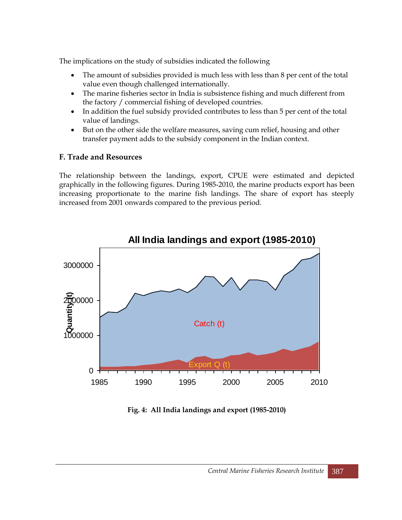The implications on the study of subsidies indicated the following

- The amount of subsidies provided is much less with less than 8 per cent of the total value even though challenged internationally.
- The marine fisheries sector in India is subsistence fishing and much different from the factory / commercial fishing of developed countries.
- In addition the fuel subsidy provided contributes to less than 5 per cent of the total value of landings.
- But on the other side the welfare measures, saving cum relief, housing and other transfer payment adds to the subsidy component in the Indian context.

# **F. Trade and Resources**

The relationship between the landings, export, CPUE were estimated and depicted graphically in the following figures. During 1985-2010, the marine products export has been increasing proportionate to the marine fish landings. The share of export has steeply increased from 2001 onwards compared to the previous period.



# **Fig. 4: All India landings and export (1985-2010)**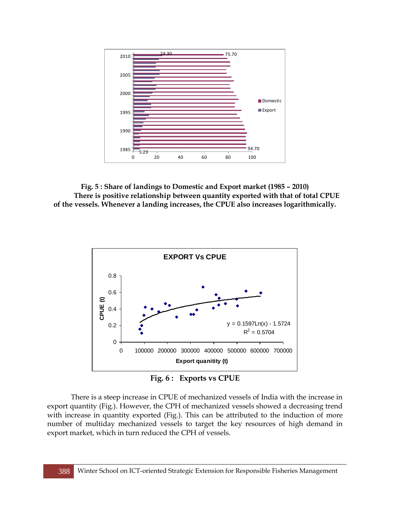

**Fig. 5 : Share of landings to Domestic and Export market (1985 – 2010) There is positive relationship between quantity exported with that of total CPUE of the vessels. Whenever a landing increases, the CPUE also increases logarithmically.**



**Fig. 6 : Exports vs CPUE**

There is a steep increase in CPUE of mechanized vessels of India with the increase in export quantity (Fig.). However, the CPH of mechanized vessels showed a decreasing trend with increase in quantity exported (Fig.). This can be attributed to the induction of more number of multiday mechanized vessels to target the key resources of high demand in export market, which in turn reduced the CPH of vessels.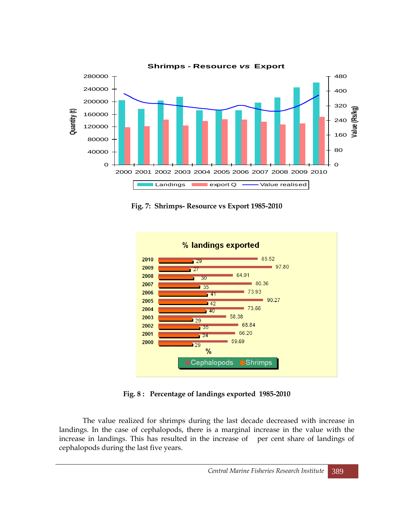

**Fig. 7: Shrimps- Resource vs Export 1985-2010**



**Fig. 8 : Percentage of landings exported 1985-2010**

The value realized for shrimps during the last decade decreased with increase in landings. In the case of cephalopods, there is a marginal increase in the value with the increase in landings. This has resulted in the increase of per cent share of landings of cephalopods during the last five years.